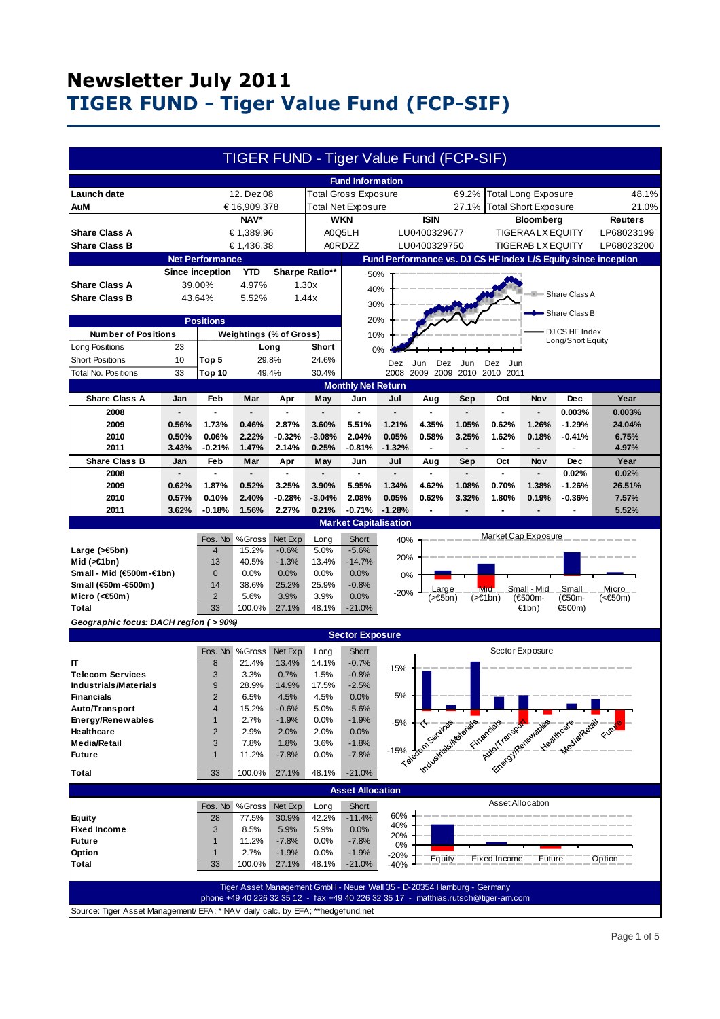|                                                                                 |                        |                                  |                         |                               |                   | TIGER FUND - Tiger Value Fund (FCP-SIF)                                            |                  |                                        |                                                                |                                     |                            |                                                                                  |                   |
|---------------------------------------------------------------------------------|------------------------|----------------------------------|-------------------------|-------------------------------|-------------------|------------------------------------------------------------------------------------|------------------|----------------------------------------|----------------------------------------------------------------|-------------------------------------|----------------------------|----------------------------------------------------------------------------------|-------------------|
|                                                                                 |                        |                                  |                         |                               |                   | <b>Fund Information</b>                                                            |                  |                                        |                                                                |                                     |                            |                                                                                  |                   |
| Launch date                                                                     |                        |                                  | 12. Dez 08              |                               |                   | <b>Total Gross Exposure</b>                                                        |                  |                                        | 69.2%                                                          |                                     | <b>Total Long Exposure</b> |                                                                                  | 48.1%             |
| AuM                                                                             | € 16,909,378           |                                  |                         | <b>Total Net Exposure</b>     |                   |                                                                                    |                  | 27.1%                                  | <b>Total Short Exposure</b>                                    |                                     |                            | 21.0%                                                                            |                   |
|                                                                                 | NAV*                   |                                  |                         | <b>WKN</b>                    |                   |                                                                                    | <b>ISIN</b>      | <b>Bloomberg</b>                       |                                                                |                                     | <b>Reuters</b>             |                                                                                  |                   |
| <b>Share Class A</b>                                                            | € 1,389.96             |                                  |                         | A0Q5LH<br>LU0400329677        |                   |                                                                                    |                  | <b>TIGERAA LX EQUITY</b>               |                                                                |                                     |                            | LP68023199                                                                       |                   |
| <b>Share Class B</b>                                                            | € 1,436.38             |                                  |                         | <b>A0RDZZ</b><br>LU0400329750 |                   |                                                                                    |                  | <b>TIGERAB LX EQUITY</b><br>LP68023200 |                                                                |                                     |                            |                                                                                  |                   |
|                                                                                 | <b>Net Performance</b> |                                  |                         |                               |                   |                                                                                    |                  |                                        | Fund Performance vs. DJ CS HF Index L/S Equity since inception |                                     |                            |                                                                                  |                   |
|                                                                                 |                        |                                  |                         |                               |                   |                                                                                    |                  |                                        |                                                                |                                     |                            |                                                                                  |                   |
|                                                                                 |                        | <b>Since inception</b>           | <b>YTD</b>              |                               | Sharpe Ratio**    | 50%                                                                                |                  |                                        |                                                                |                                     |                            |                                                                                  |                   |
| <b>Share Class A</b>                                                            | 39.00%                 |                                  | 4.97%                   |                               | 1.30x<br>40%      |                                                                                    |                  |                                        |                                                                |                                     |                            | Share Class A                                                                    |                   |
| <b>Share Class B</b>                                                            |                        | 43.64%                           | 5.52%                   |                               | 1.44x             | 30%                                                                                |                  |                                        |                                                                |                                     |                            |                                                                                  |                   |
|                                                                                 |                        |                                  |                         |                               |                   |                                                                                    |                  |                                        |                                                                |                                     |                            | Share Class B                                                                    |                   |
| <b>Positions</b>                                                                |                        |                                  |                         |                               | 20%               |                                                                                    |                  |                                        |                                                                |                                     |                            |                                                                                  |                   |
| <b>Number of Positions</b>                                                      |                        |                                  |                         | Weightings (% of Gross)       |                   | 10%                                                                                |                  |                                        |                                                                | DJ CS HF Index<br>Long/Short Equity |                            |                                                                                  |                   |
| Long Positions                                                                  | 23                     |                                  |                         | Long                          | Short             | 0%                                                                                 |                  |                                        |                                                                |                                     |                            |                                                                                  |                   |
| <b>Short Positions</b>                                                          | 10                     | 29.8%<br>Top 5                   |                         | 24.6%                         | Dez<br>Dez<br>Jun |                                                                                    |                  | Jun                                    | Dez Jun                                                        |                                     |                            |                                                                                  |                   |
| Total No. Positions                                                             | 33                     | <b>Top 10</b>                    |                         | 49.4%                         | 30.4%             |                                                                                    | 2008             | 2009<br>2009                           | 2010                                                           | 2010 2011                           |                            |                                                                                  |                   |
|                                                                                 |                        |                                  |                         |                               |                   | <b>Monthly Net Return</b>                                                          |                  |                                        |                                                                |                                     |                            |                                                                                  |                   |
| <b>Share Class A</b>                                                            | Jan                    | Feb                              | Mar                     | Apr                           | May               | Jun                                                                                | Jul              | Aug                                    | Sep                                                            | Oct                                 | Nov                        | Dec                                                                              | Year              |
| 2008                                                                            |                        |                                  |                         |                               |                   |                                                                                    |                  |                                        |                                                                |                                     |                            | 0.003%                                                                           | 0.003%            |
| 2009                                                                            | 0.56%                  | 1.73%                            | 0.46%                   | 2.87%                         | 3.60%             | 5.51%                                                                              | 1.21%            | 4.35%                                  | 1.05%                                                          | 0.62%                               | 1.26%                      | $-1.29%$                                                                         | 24.04%            |
| 2010                                                                            | 0.50%                  | 0.06%                            | 2.22%                   | $-0.32%$                      | $-3.08%$          | 2.04%                                                                              | 0.05%            | 0.58%                                  | 3.25%                                                          | 1.62%                               | 0.18%                      | $-0.41%$                                                                         | 6.75%             |
| 2011                                                                            | 3.43%                  | $-0.21%$                         | 1.47%                   | 2.14%                         | 0.25%             | $-0.81%$                                                                           | $-1.32%$         |                                        | $\overline{a}$                                                 | $\overline{a}$                      |                            |                                                                                  | 4.97%             |
| <b>Share Class B</b>                                                            | Jan                    | Feb                              | Mar                     | Apr                           | May               | Jun                                                                                | Jul              | Aug                                    | Sep                                                            | Oct                                 | Nov                        | <b>Dec</b>                                                                       | Year              |
| 2008                                                                            |                        | ÷.                               |                         | $\overline{a}$                |                   | ÷.                                                                                 |                  |                                        |                                                                | ÷,                                  |                            | 0.02%                                                                            | 0.02%             |
| 2009                                                                            | 0.62%                  | 1.87%                            | 0.52%                   | 3.25%                         | 3.90%             | 5.95%                                                                              | 1.34%            | 4.62%                                  | 1.08%                                                          | 0.70%                               | 1.38%                      | $-1.26%$                                                                         | 26.51%            |
| 2010                                                                            | 0.57%                  | 0.10%                            | 2.40%                   | $-0.28%$                      | $-3.04%$          | 2.08%                                                                              | 0.05%            | 0.62%                                  | 3.32%                                                          | 1.80%                               | 0.19%                      | $-0.36%$                                                                         | 7.57%             |
| 2011                                                                            | 3.62%                  | $-0.18%$                         | 1.56%                   | 2.27%                         | 0.21%             | $-0.71%$                                                                           | $-1.28%$         |                                        | -                                                              |                                     |                            |                                                                                  | 5.52%             |
|                                                                                 |                        |                                  |                         |                               |                   | <b>Market Capitalisation</b>                                                       |                  |                                        |                                                                |                                     |                            |                                                                                  |                   |
|                                                                                 |                        |                                  |                         |                               |                   |                                                                                    |                  |                                        |                                                                | Market Cap Exposure                 |                            |                                                                                  |                   |
|                                                                                 |                        | Pos. No                          | %Gross<br>15.2%         | Net Exp<br>$-0.6%$            | Long<br>5.0%      | Short<br>$-5.6%$                                                                   | 40%              |                                        |                                                                |                                     |                            |                                                                                  |                   |
| Large ( $\leq 5$ bn)<br>Mid $($ > $\in$ 1bn)                                    |                        | $\overline{4}$<br>13             | 40.5%                   | $-1.3%$                       | 13.4%             | $-14.7%$                                                                           | 20%              |                                        |                                                                |                                     |                            |                                                                                  |                   |
| Small - Mid (€500m-€1bn)                                                        |                        | $\mathbf 0$                      | 0.0%                    | 0.0%                          | 0.0%              | 0.0%                                                                               |                  |                                        |                                                                |                                     |                            |                                                                                  |                   |
| Small (€50m-€500m)                                                              |                        | 14                               | 38.6%                   | 25.2%                         | 25.9%             | $-0.8%$                                                                            | 0%               |                                        |                                                                |                                     |                            |                                                                                  |                   |
| Micro (<€50m)                                                                   |                        | $\overline{2}$                   | 5.6%                    | 3.9%                          | 3.9%              | 0.0%                                                                               | $-20%$           | Large<br>$($ > €5bn)                   |                                                                | Mid<br>$(\geq 1$ bn)                | Small - Mid<br>(€500m-     | Small<br>(€50m-                                                                  | Micro<br>$(650m)$ |
| Total                                                                           |                        | 33                               | 100.0%                  | 27.1%                         | 48.1%             | $-21.0\%$                                                                          |                  |                                        |                                                                |                                     | €1bn)                      | €500m)                                                                           |                   |
| Geographic focus: DACH region ( > 90%)                                          |                        |                                  |                         |                               |                   |                                                                                    |                  |                                        |                                                                |                                     |                            |                                                                                  |                   |
| <b>Sector Exposure</b>                                                          |                        |                                  |                         |                               |                   |                                                                                    |                  |                                        |                                                                |                                     |                            |                                                                                  |                   |
|                                                                                 |                        |                                  |                         |                               |                   |                                                                                    |                  |                                        |                                                                |                                     |                            |                                                                                  |                   |
|                                                                                 |                        |                                  | Pos. No %Gross          | Net Exp                       | Long              | Short                                                                              |                  |                                        |                                                                |                                     | Sector Exposure            |                                                                                  |                   |
| IT                                                                              |                        | 8                                | 21.4%                   | 13.4%                         | 14.1%             | $-0.7%$                                                                            | 15%              |                                        |                                                                |                                     |                            |                                                                                  |                   |
| <b>Telecom Services</b>                                                         |                        | 3                                | 3.3%                    | 0.7%                          | 1.5%              | $-0.8%$                                                                            |                  |                                        |                                                                |                                     |                            |                                                                                  |                   |
| <b>Industrials/Materials</b>                                                    |                        | 9                                | 28.9%                   | 14.9%                         | 17.5%             | $-2.5%$                                                                            | $5\%$            |                                        |                                                                |                                     |                            |                                                                                  |                   |
| <b>Financials</b><br>Auto/Transport                                             |                        | $\overline{2}$<br>$\overline{4}$ | 6.5%<br>15.2%           | 4.5%<br>$-0.6%$               | 4.5%<br>5.0%      | 0.0%<br>$-5.6%$                                                                    |                  |                                        |                                                                |                                     |                            |                                                                                  |                   |
| Energy/Renewables                                                               |                        | $\mathbf{1}$                     | 2.7%                    | $-1.9%$                       | 0.0%              | $-1.9%$                                                                            |                  |                                        |                                                                |                                     |                            |                                                                                  |                   |
| Healthcare                                                                      |                        | $\overline{2}$                   | 2.9%                    | 2.0%                          | 2.0%              | 0.0%                                                                               | $-5%$            |                                        |                                                                |                                     |                            |                                                                                  |                   |
| <b>Media/Retail</b>                                                             |                        | 3                                | 7.8%                    | 1.8%                          | 3.6%              | $-1.8%$                                                                            |                  |                                        |                                                                |                                     |                            |                                                                                  |                   |
| <b>Future</b>                                                                   |                        | $\mathbf{1}$                     | 11.2%                   | $-7.8%$                       | 0.0%              | $-7.8%$                                                                            | $-15%$           |                                        |                                                                |                                     |                            |                                                                                  |                   |
|                                                                                 |                        |                                  |                         |                               |                   |                                                                                    |                  |                                        |                                                                |                                     |                            | 1% degree states and construction of the construction of the construction of the |                   |
| <b>Total</b>                                                                    |                        | 33                               | 100.0%                  | 27.1%                         | 48.1%             | $-21.0%$                                                                           |                  |                                        |                                                                |                                     |                            |                                                                                  |                   |
|                                                                                 |                        |                                  |                         |                               |                   | <b>Asset Allocation</b>                                                            |                  |                                        |                                                                |                                     |                            |                                                                                  |                   |
|                                                                                 |                        |                                  |                         |                               |                   |                                                                                    |                  |                                        |                                                                | Asset Allocation                    |                            |                                                                                  |                   |
| <b>Equity</b>                                                                   |                        | 28                               | Pos. No %Gross<br>77.5% | Net Exp<br>30.9%              | Long<br>42.2%     | Short<br>$-11.4%$                                                                  | 60%              |                                        |                                                                |                                     |                            |                                                                                  |                   |
| <b>Fixed Income</b>                                                             |                        | 3                                | 8.5%                    | 5.9%                          | 5.9%              | 0.0%                                                                               | 40%              |                                        |                                                                |                                     |                            |                                                                                  |                   |
| <b>Future</b>                                                                   |                        | $\mathbf{1}$                     | 11.2%                   | $-7.8%$                       | 0.0%              | $-7.8%$                                                                            | 20%              |                                        |                                                                |                                     |                            |                                                                                  |                   |
| Option                                                                          |                        | $\mathbf{1}$                     | 2.7%                    | $-1.9%$                       | 0.0%              | $-1.9%$                                                                            | 0%               |                                        |                                                                |                                     |                            |                                                                                  |                   |
| <b>Total</b>                                                                    |                        | 33                               | 100.0%                  | 27.1%                         | 48.1%             | $-21.0%$                                                                           | $-20%$<br>$-40%$ | Equity                                 |                                                                | <b>Fixed Income</b>                 | Future                     |                                                                                  | Option            |
|                                                                                 |                        |                                  |                         |                               |                   |                                                                                    |                  |                                        |                                                                |                                     |                            |                                                                                  |                   |
|                                                                                 |                        |                                  |                         |                               |                   | Tiger Asset Management GmbH - Neuer Wall 35 - D-20354 Hamburg - Germany            |                  |                                        |                                                                |                                     |                            |                                                                                  |                   |
|                                                                                 |                        |                                  |                         |                               |                   | phone +49 40 226 32 35 12 - fax +49 40 226 32 35 17 - matthias.rutsch@tiger-am.com |                  |                                        |                                                                |                                     |                            |                                                                                  |                   |
| Source: Tiger Asset Management/ EFA; * NAV daily calc. by EFA; **hedgef und.net |                        |                                  |                         |                               |                   |                                                                                    |                  |                                        |                                                                |                                     |                            |                                                                                  |                   |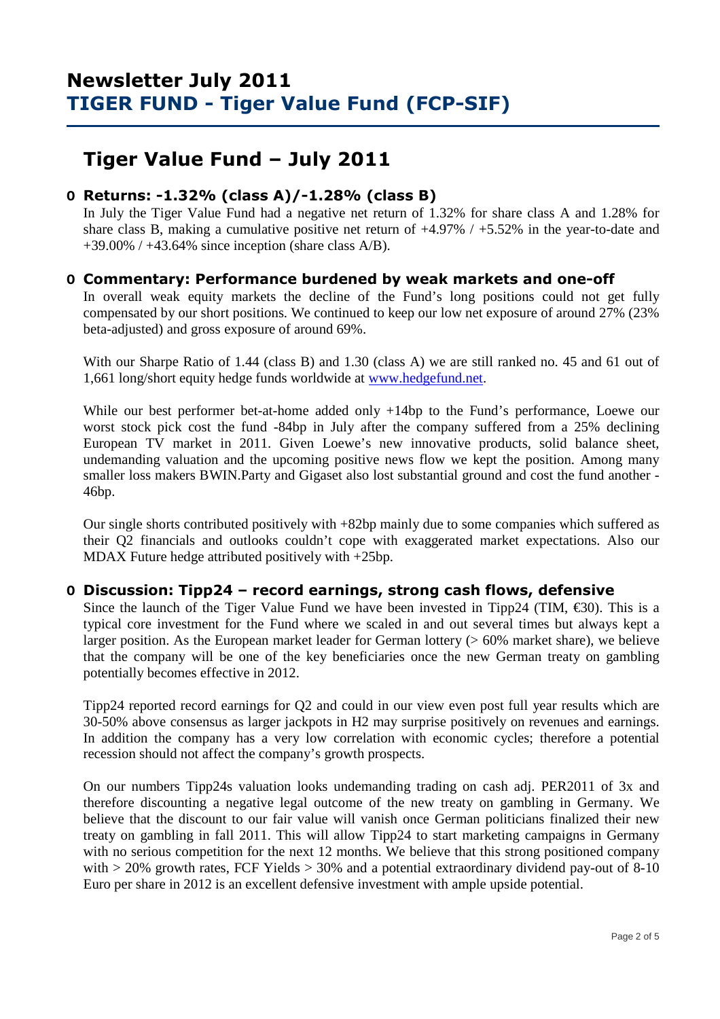# **Tiger Value Fund – July 2011**

## **O Returns: -1.32% (class A)/-1.28% (class B)**

 In July the Tiger Value Fund had a negative net return of 1.32% for share class A and 1.28% for share class B, making a cumulative positive net return of +4.97% / +5.52% in the year-to-date and  $+39.00\%$  /  $+43.64\%$  since inception (share class A/B).

### **O Commentary: Performance burdened by weak markets and one-off**

In overall weak equity markets the decline of the Fund's long positions could not get fully compensated by our short positions. We continued to keep our low net exposure of around 27% (23% beta-adjusted) and gross exposure of around 69%.

With our Sharpe Ratio of 1.44 (class B) and 1.30 (class A) we are still ranked no. 45 and 61 out of 1,661 long/short equity hedge funds worldwide at www.hedgefund.net.

While our best performer bet-at-home added only +14bp to the Fund's performance, Loewe our worst stock pick cost the fund -84bp in July after the company suffered from a 25% declining European TV market in 2011. Given Loewe's new innovative products, solid balance sheet, undemanding valuation and the upcoming positive news flow we kept the position. Among many smaller loss makers BWIN.Party and Gigaset also lost substantial ground and cost the fund another - 46bp.

Our single shorts contributed positively with +82bp mainly due to some companies which suffered as their Q2 financials and outlooks couldn't cope with exaggerated market expectations. Also our MDAX Future hedge attributed positively with +25bp.

### **O Discussion: Tipp24 – record earnings, strong cash flows, defensive**

Since the launch of the Tiger Value Fund we have been invested in Tipp24 (TIM,  $\epsilon$ 30). This is a typical core investment for the Fund where we scaled in and out several times but always kept a larger position. As the European market leader for German lottery (> 60% market share), we believe that the company will be one of the key beneficiaries once the new German treaty on gambling potentially becomes effective in 2012.

Tipp24 reported record earnings for Q2 and could in our view even post full year results which are 30-50% above consensus as larger jackpots in H2 may surprise positively on revenues and earnings. In addition the company has a very low correlation with economic cycles; therefore a potential recession should not affect the company's growth prospects.

On our numbers Tipp24s valuation looks undemanding trading on cash adj. PER2011 of 3x and therefore discounting a negative legal outcome of the new treaty on gambling in Germany. We believe that the discount to our fair value will vanish once German politicians finalized their new treaty on gambling in fall 2011. This will allow Tipp24 to start marketing campaigns in Germany with no serious competition for the next 12 months. We believe that this strong positioned company with  $> 20\%$  growth rates, FCF Yields  $> 30\%$  and a potential extraordinary dividend pay-out of 8-10 Euro per share in 2012 is an excellent defensive investment with ample upside potential.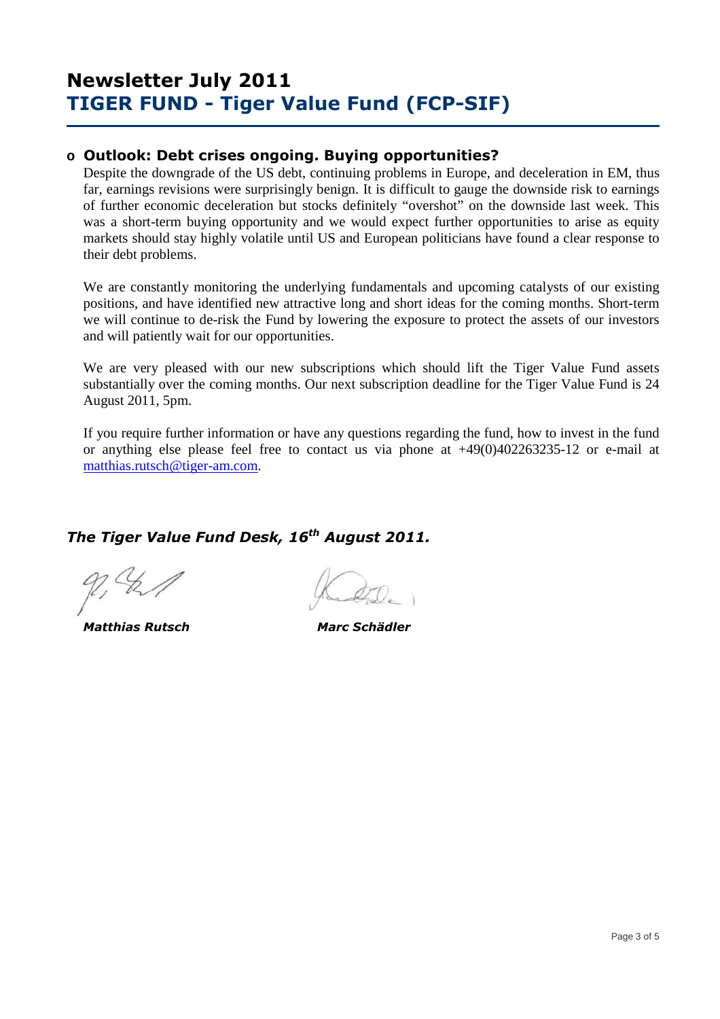### **o Outlook: Debt crises ongoing. Buying opportunities?**

Despite the downgrade of the US debt, continuing problems in Europe, and deceleration in EM, thus far, earnings revisions were surprisingly benign. It is difficult to gauge the downside risk to earnings of further economic deceleration but stocks definitely "overshot" on the downside last week. This was a short-term buying opportunity and we would expect further opportunities to arise as equity markets should stay highly volatile until US and European politicians have found a clear response to their debt problems.

We are constantly monitoring the underlying fundamentals and upcoming catalysts of our existing positions, and have identified new attractive long and short ideas for the coming months. Short-term we will continue to de-risk the Fund by lowering the exposure to protect the assets of our investors and will patiently wait for our opportunities.

We are very pleased with our new subscriptions which should lift the Tiger Value Fund assets substantially over the coming months. Our next subscription deadline for the Tiger Value Fund is 24 August 2011, 5pm.

If you require further information or have any questions regarding the fund, how to invest in the fund or anything else please feel free to contact us via phone at +49(0)402263235-12 or e-mail at matthias.rutsch@tiger-am.com.

## *The Tiger Value Fund Desk, 16th August 2011.*

 *Matthias Rutsch Marc Schädler*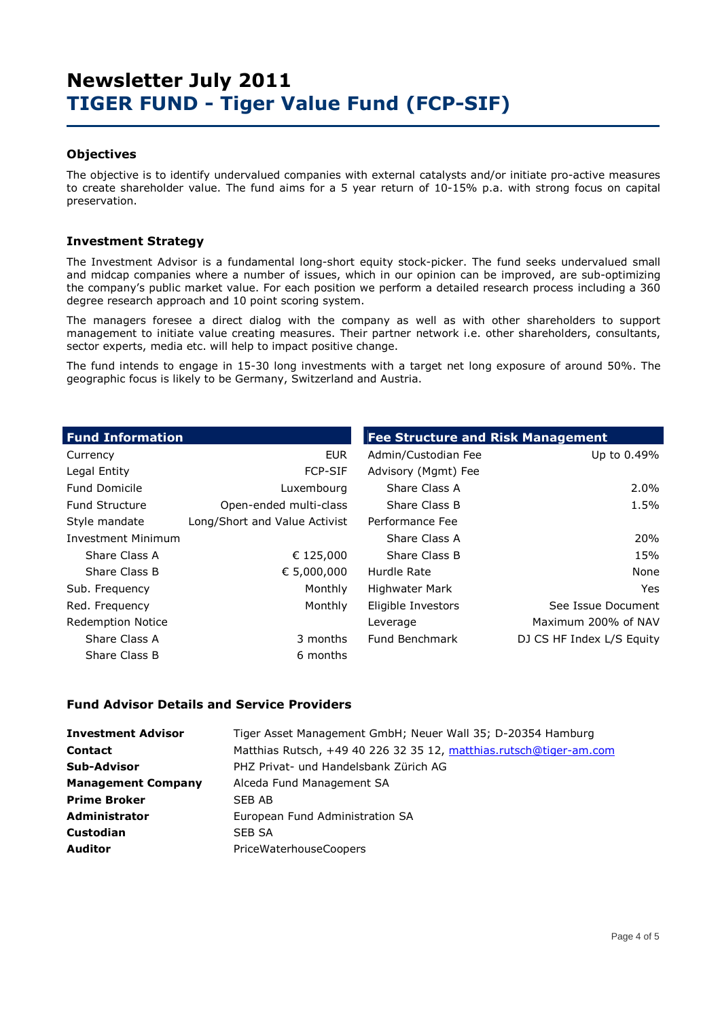### **Objectives**

The objective is to identify undervalued companies with external catalysts and/or initiate pro-active measures to create shareholder value. The fund aims for a 5 year return of 10-15% p.a. with strong focus on capital preservation.

### **Investment Strategy**

The Investment Advisor is a fundamental long-short equity stock-picker. The fund seeks undervalued small and midcap companies where a number of issues, which in our opinion can be improved, are sub-optimizing the company's public market value. For each position we perform a detailed research process including a 360 degree research approach and 10 point scoring system.

The managers foresee a direct dialog with the company as well as with other shareholders to support management to initiate value creating measures. Their partner network i.e. other shareholders, consultants, sector experts, media etc. will help to impact positive change.

The fund intends to engage in 15-30 long investments with a target net long exposure of around 50%. The geographic focus is likely to be Germany, Switzerland and Austria.

| <b>Fund Information</b>   |                               | <b>Fee Structure and Risk Management</b> |                           |  |  |  |  |
|---------------------------|-------------------------------|------------------------------------------|---------------------------|--|--|--|--|
| Currency                  | <b>EUR</b>                    | Admin/Custodian Fee                      | Up to 0.49%               |  |  |  |  |
| Legal Entity              | <b>FCP-SIF</b>                | Advisory (Mgmt) Fee                      |                           |  |  |  |  |
| <b>Fund Domicile</b>      | Luxembourg                    | Share Class A                            | 2.0%                      |  |  |  |  |
| <b>Fund Structure</b>     | Open-ended multi-class        | Share Class B                            | 1.5%                      |  |  |  |  |
| Style mandate             | Long/Short and Value Activist | Performance Fee                          |                           |  |  |  |  |
| <b>Investment Minimum</b> |                               | Share Class A                            | 20%                       |  |  |  |  |
| Share Class A             | € 125,000                     | Share Class B                            | 15%                       |  |  |  |  |
| Share Class B             | € 5,000,000                   | Hurdle Rate                              | None                      |  |  |  |  |
| Sub. Frequency            | Monthly                       | <b>Highwater Mark</b>                    | Yes.                      |  |  |  |  |
| Red. Frequency            | Monthly                       | Eligible Investors                       | See Issue Document        |  |  |  |  |
| <b>Redemption Notice</b>  |                               | Leverage                                 | Maximum 200% of NAV       |  |  |  |  |
| Share Class A             | 3 months                      | Fund Benchmark                           | DJ CS HF Index L/S Equity |  |  |  |  |
| Share Class B             | 6 months                      |                                          |                           |  |  |  |  |

#### **Fund Advisor Details and Service Providers**

| <b>Investment Advisor</b> | Tiger Asset Management GmbH; Neuer Wall 35; D-20354 Hamburg        |
|---------------------------|--------------------------------------------------------------------|
| <b>Contact</b>            | Matthias Rutsch, +49 40 226 32 35 12, matthias.rutsch@tiger-am.com |
| <b>Sub-Advisor</b>        | PHZ Privat- und Handelsbank Zürich AG                              |
| <b>Management Company</b> | Alceda Fund Management SA                                          |
| <b>Prime Broker</b>       | SEB AB                                                             |
| <b>Administrator</b>      | European Fund Administration SA                                    |
| <b>Custodian</b>          | SEB SA                                                             |
| <b>Auditor</b>            | <b>PriceWaterhouseCoopers</b>                                      |